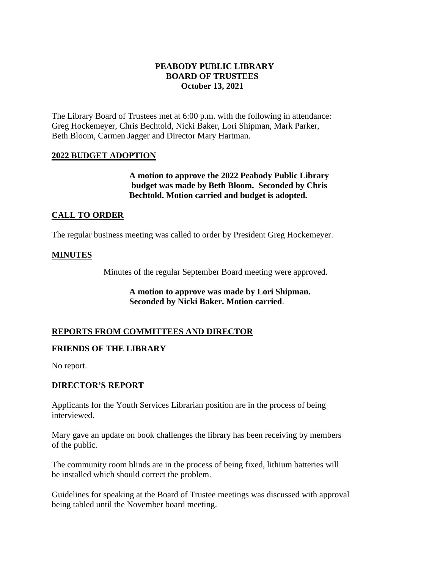# **PEABODY PUBLIC LIBRARY BOARD OF TRUSTEES October 13, 2021**

The Library Board of Trustees met at 6:00 p.m. with the following in attendance: Greg Hockemeyer, Chris Bechtold, Nicki Baker, Lori Shipman, Mark Parker, Beth Bloom, Carmen Jagger and Director Mary Hartman.

# **2022 BUDGET ADOPTION**

**A motion to approve the 2022 Peabody Public Library budget was made by Beth Bloom. Seconded by Chris Bechtold. Motion carried and budget is adopted.** 

# **CALL TO ORDER**

The regular business meeting was called to order by President Greg Hockemeyer.

### **MINUTES**

Minutes of the regular September Board meeting were approved.

**A motion to approve was made by Lori Shipman. Seconded by Nicki Baker. Motion carried**.

### **REPORTS FROM COMMITTEES AND DIRECTOR**

### **FRIENDS OF THE LIBRARY**

No report.

### **DIRECTOR'S REPORT**

Applicants for the Youth Services Librarian position are in the process of being interviewed.

Mary gave an update on book challenges the library has been receiving by members of the public.

The community room blinds are in the process of being fixed, lithium batteries will be installed which should correct the problem.

Guidelines for speaking at the Board of Trustee meetings was discussed with approval being tabled until the November board meeting.